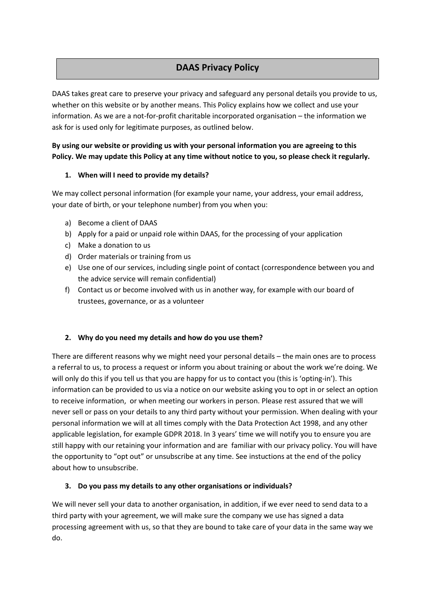# **DAAS Privacy Policy**

DAAS takes great care to preserve your privacy and safeguard any personal details you provide to us, whether on this website or by another means. This Policy explains how we collect and use your information. As we are a not-for-profit charitable incorporated organisation – the information we ask for is used only for legitimate purposes, as outlined below.

# **By using our website or providing us with your personal information you are agreeing to this Policy. We may update this Policy at any time without notice to you, so please check it regularly.**

# **1. When will I need to provide my details?**

We may collect personal information (for example your name, your address, your email address, your date of birth, or your telephone number) from you when you:

- a) Become a client of DAAS
- b) Apply for a paid or unpaid role within DAAS, for the processing of your application
- c) Make a donation to us
- d) Order materials or training from us
- e) Use one of our services, including single point of contact (correspondence between you and the advice service will remain confidential)
- f) Contact us or become involved with us in another way, for example with our board of trustees, governance, or as a volunteer

#### **2. Why do you need my details and how do you use them?**

There are different reasons why we might need your personal details – the main ones are to process a referral to us, to process a request or inform you about training or about the work we're doing. We will only do this if you tell us that you are happy for us to contact you (this is 'opting-in'). This information can be provided to us via a notice on our website asking you to opt in or select an option to receive information, or when meeting our workers in person. Please rest assured that we will never sell or pass on your details to any third party without your permission. When dealing with your personal information we will at all times comply with the Data Protection Act 1998, and any other applicable legislation, for example GDPR 2018. In 3 years' time we will notify you to ensure you are still happy with our retaining your information and are familiar with our privacy policy. You will have the opportunity to "opt out" or unsubscribe at any time. See instuctions at the end of the policy about how to unsubscribe.

#### **3. Do you pass my details to any other organisations or individuals?**

We will never sell your data to another organisation, in addition, if we ever need to send data to a third party with your agreement, we will make sure the company we use has signed a data processing agreement with us, so that they are bound to take care of your data in the same way we do.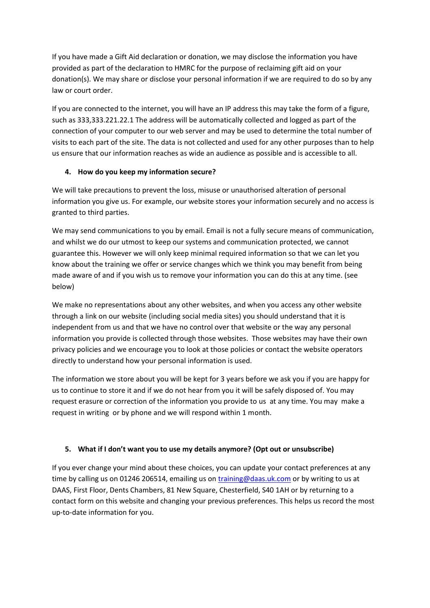If you have made a Gift Aid declaration or donation, we may disclose the information you have provided as part of the declaration to HMRC for the purpose of reclaiming gift aid on your donation(s). We may share or disclose your personal information if we are required to do so by any law or court order.

If you are connected to the internet, you will have an IP address this may take the form of a figure, such as 333,333.221.22.1 The address will be automatically collected and logged as part of the connection of your computer to our web server and may be used to determine the total number of visits to each part of the site. The data is not collected and used for any other purposes than to help us ensure that our information reaches as wide an audience as possible and is accessible to all.

# **4. How do you keep my information secure?**

We will take precautions to prevent the loss, misuse or unauthorised alteration of personal information you give us. For example, our website stores your information securely and no access is granted to third parties.

We may send communications to you by email. Email is not a fully secure means of communication, and whilst we do our utmost to keep our systems and communication protected, we cannot guarantee this. However we will only keep minimal required information so that we can let you know about the training we offer or service changes which we think you may benefit from being made aware of and if you wish us to remove your information you can do this at any time. (see below)

We make no representations about any other websites, and when you access any other website through a link on our website (including social media sites) you should understand that it is independent from us and that we have no control over that website or the way any personal information you provide is collected through those websites. Those websites may have their own privacy policies and we encourage you to look at those policies or contact the website operators directly to understand how your personal information is used.

The information we store about you will be kept for 3 years before we ask you if you are happy for us to continue to store it and if we do not hear from you it will be safely disposed of. You may request erasure or correction of the information you provide to us at any time. You may make a request in writing or by phone and we will respond within 1 month.

# **5. What if I don't want you to use my details anymore? (Opt out or unsubscribe)**

If you ever change your mind about these choices, you can update your contact preferences at any time by calling us on 01246 206514, emailing us on [training@daas.uk.com](mailto:training@daas.uk.com) or by writing to us at DAAS, First Floor, Dents Chambers, 81 New Square, Chesterfield, S40 1AH or by returning to a contact form on this website and changing your previous preferences. This helps us record the most up-to-date information for you.